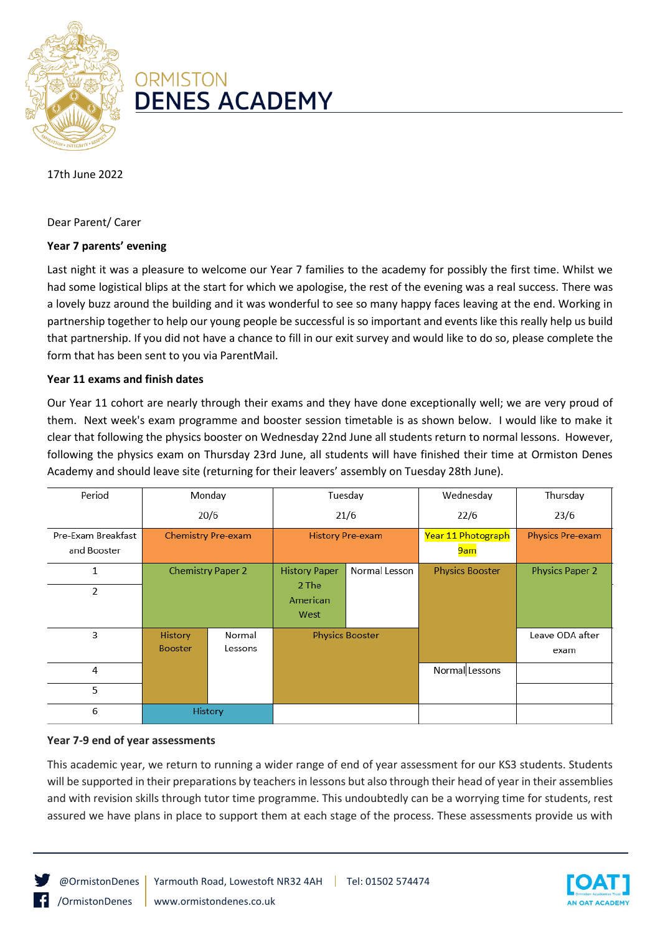

# **ORMISTON DENES ACADEMY**

17th June 2022

Dear Parent/ Carer

## **Year 7 parents' evening**

Last night it was a pleasure to welcome our Year 7 families to the academy for possibly the first time. Whilst we had some logistical blips at the start for which we apologise, the rest of the evening was a real success. There was a lovely buzz around the building and it was wonderful to see so many happy faces leaving at the end. Working in partnership together to help our young people be successful is so important and events like this really help us build that partnership. If you did not have a chance to fill in our exit survey and would like to do so, please complete the form that has been sent to you via ParentMail.

### **Year 11 exams and finish dates**

Our Year 11 cohort are nearly through their exams and they have done exceptionally well; we are very proud of them. Next week's exam programme and booster session timetable is as shown below. I would like to make it clear that following the physics booster on Wednesday 22nd June all students return to normal lessons. However, following the physics exam on Thursday 23rd June, all students will have finished their time at Ormiston Denes Academy and should leave site (returning for their leavers' assembly on Tuesday 28th June).

| Period             | Monday                    |         | Tuesday                 |               | Wednesday              | Thursday                |
|--------------------|---------------------------|---------|-------------------------|---------------|------------------------|-------------------------|
|                    | 20/6                      |         | 21/6                    |               | 22/6                   | 23/6                    |
| Pre-Exam Breakfast | <b>Chemistry Pre-exam</b> |         | <b>History Pre-exam</b> |               | Year 11 Photograph     | <b>Physics Pre-exam</b> |
| and Booster        |                           |         |                         |               | 9am                    |                         |
| 1                  | <b>Chemistry Paper 2</b>  |         | <b>History Paper</b>    | Normal Lesson | <b>Physics Booster</b> | <b>Physics Paper 2</b>  |
| 2                  |                           |         | 2 The                   |               |                        |                         |
|                    |                           |         | American                |               |                        |                         |
|                    |                           |         | West                    |               |                        |                         |
| 3                  | <b>History</b>            | Normal  | <b>Physics Booster</b>  |               |                        | Leave ODA after         |
|                    | <b>Booster</b>            | Lessons |                         |               |                        | exam                    |
| 4                  |                           |         |                         |               | Normal Lessons         |                         |
| 5                  |                           |         |                         |               |                        |                         |
| 6                  | History                   |         |                         |               |                        |                         |

### **Year 7-9 end of year assessments**

This academic year, we return to running a wider range of end of year assessment for our KS3 students. Students will be supported in their preparations by teachers in lessons but also through their head of year in their assemblies and with revision skills through tutor time programme. This undoubtedly can be a worrying time for students, rest assured we have plans in place to support them at each stage of the process. These assessments provide us with